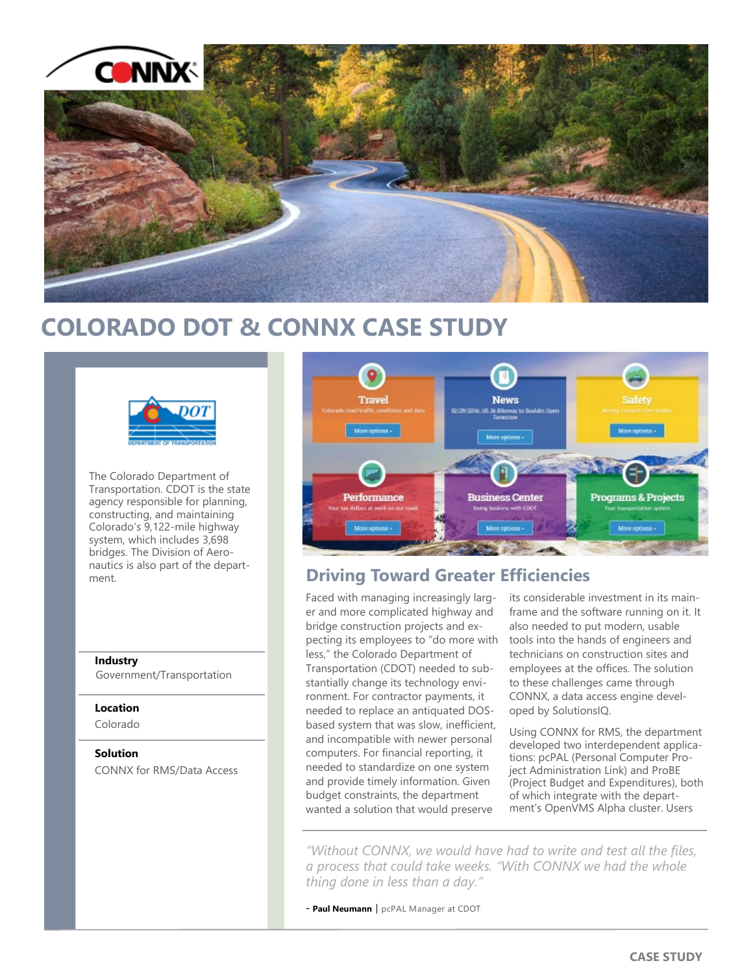

# **COLORADO DOT & CONNX CASE STUDY**



The Colorado Department of Transportation. CDOT is the state agency responsible for planning, constructing, and maintaining Colorado's 9,122-mile highway system, which includes 3,698 bridges. The Division of Aeronautics is also part of the department.

## **Industry**

Government/Transportation

## **Location**

Colorado

## **Solution**

CONNX for RMS/Data Access



## **Driving Toward Greater Efficiencies**

Faced with managing increasingly larger and more complicated highway and bridge construction projects and expecting its employees to "do more with less," the Colorado Department of Transportation (CDOT) needed to substantially change its technology environment. For contractor payments, it needed to replace an antiquated DOSbased system that was slow, inefficient, and incompatible with newer personal computers. For financial reporting, it needed to standardize on one system and provide timely information. Given budget constraints, the department wanted a solution that would preserve

its considerable investment in its mainframe and the software running on it. It also needed to put modern, usable tools into the hands of engineers and technicians on construction sites and employees at the offices. The solution to these challenges came through CONNX, a data access engine developed by SolutionsIQ.

Using CONNX for RMS, the department developed two interdependent applications: pcPAL (Personal Computer Project Administration Link) and ProBE (Project Budget and Expenditures), both of which integrate with the department's OpenVMS Alpha cluster. Users

*"Without CONNX, we would have had to write and test all the files, a process that could take weeks. "With CONNX we had the whole thing done in less than a day."* 

- Paul Neumann | pcPAL Manager at CDOT